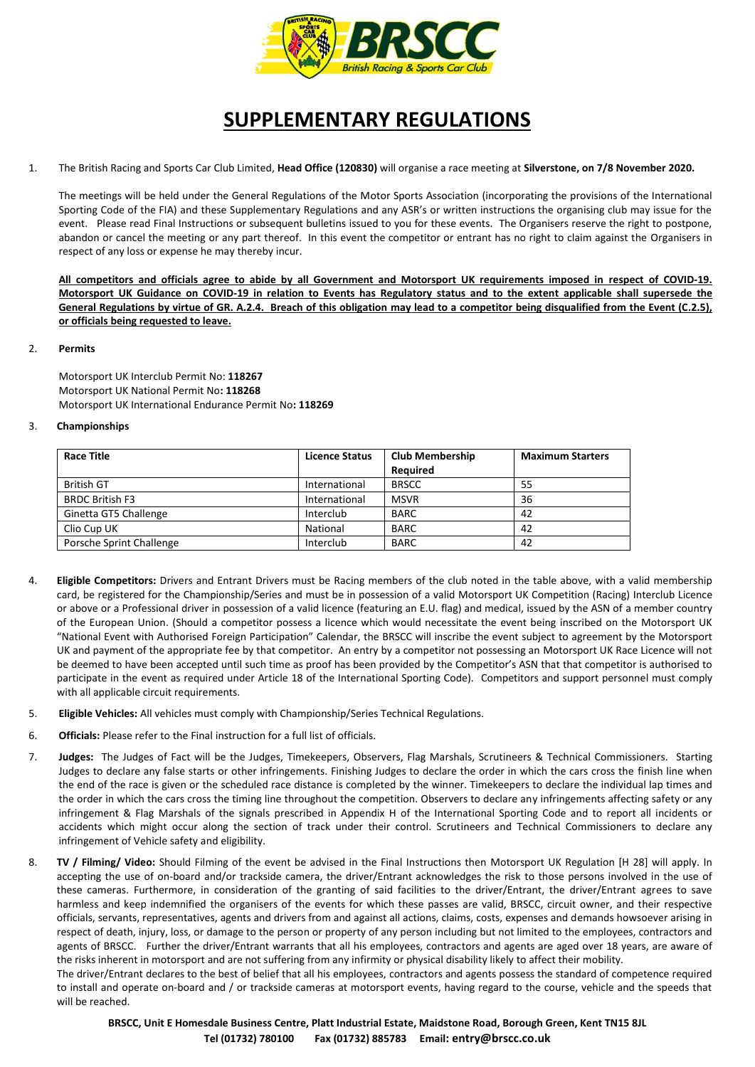

## **SUPPLEMENTARY REGULATIONS**

1. The British Racing and Sports Car Club Limited, **Head Office (120830)** will organise a race meeting at **Silverstone, on 7/8 November 2020.**

The meetings will be held under the General Regulations of the Motor Sports Association (incorporating the provisions of the International Sporting Code of the FIA) and these Supplementary Regulations and any ASR's or written instructions the organising club may issue for the event. Please read Final Instructions or subsequent bulletins issued to you for these events. The Organisers reserve the right to postpone, abandon or cancel the meeting or any part thereof. In this event the competitor or entrant has no right to claim against the Organisers in respect of any loss or expense he may thereby incur.

**All competitors and officials agree to abide by all Government and Motorsport UK requirements imposed in respect of COVID-19. Motorsport UK Guidance on COVID-19 in relation to Events has Regulatory status and to the extent applicable shall supersede the General Regulations by virtue of GR. A.2.4. Breach of this obligation may lead to a competitor being disqualified from the Event (C.2.5), or officials being requested to leave.**

## 2. **Permits**

Motorsport UK Interclub Permit No: **118267** Motorsport UK National Permit No**: 118268** Motorsport UK International Endurance Permit No**: 118269**

## 3. **Championships**

| <b>Race Title</b>        | <b>Licence Status</b> | <b>Club Membership</b> | <b>Maximum Starters</b> |
|--------------------------|-----------------------|------------------------|-------------------------|
|                          |                       | Required               |                         |
| <b>British GT</b>        | International         | <b>BRSCC</b>           | 55                      |
| <b>BRDC British F3</b>   | International         | <b>MSVR</b>            | 36                      |
| Ginetta GT5 Challenge    | Interclub             | <b>BARC</b>            | 42                      |
| Clio Cup UK              | National              | <b>BARC</b>            | 42                      |
| Porsche Sprint Challenge | Interclub             | <b>BARC</b>            | 42                      |

- 4. **Eligible Competitors:** Drivers and Entrant Drivers must be Racing members of the club noted in the table above, with a valid membership card, be registered for the Championship/Series and must be in possession of a valid Motorsport UK Competition (Racing) Interclub Licence or above or a Professional driver in possession of a valid licence (featuring an E.U. flag) and medical, issued by the ASN of a member country of the European Union. (Should a competitor possess a licence which would necessitate the event being inscribed on the Motorsport UK "National Event with Authorised Foreign Participation" Calendar, the BRSCC will inscribe the event subject to agreement by the Motorsport UK and payment of the appropriate fee by that competitor. An entry by a competitor not possessing an Motorsport UK Race Licence will not be deemed to have been accepted until such time as proof has been provided by the Competitor's ASN that that competitor is authorised to participate in the event as required under Article 18 of the International Sporting Code). Competitors and support personnel must comply with all applicable circuit requirements.
- 5. **Eligible Vehicles:** All vehicles must comply with Championship/Series Technical Regulations.
- 6. **Officials:** Please refer to the Final instruction for a full list of officials.
- 7. **Judges:** The Judges of Fact will be the Judges, Timekeepers, Observers, Flag Marshals, Scrutineers & Technical Commissioners. Starting Judges to declare any false starts or other infringements. Finishing Judges to declare the order in which the cars cross the finish line when the end of the race is given or the scheduled race distance is completed by the winner. Timekeepers to declare the individual lap times and the order in which the cars cross the timing line throughout the competition. Observers to declare any infringements affecting safety or any infringement & Flag Marshals of the signals prescribed in Appendix H of the International Sporting Code and to report all incidents or accidents which might occur along the section of track under their control. Scrutineers and Technical Commissioners to declare any infringement of Vehicle safety and eligibility.
- 8. **TV / Filming/ Video:** Should Filming of the event be advised in the Final Instructions then Motorsport UK Regulation [H 28] will apply. In accepting the use of on-board and/or trackside camera, the driver/Entrant acknowledges the risk to those persons involved in the use of these cameras. Furthermore, in consideration of the granting of said facilities to the driver/Entrant, the driver/Entrant agrees to save harmless and keep indemnified the organisers of the events for which these passes are valid, BRSCC, circuit owner, and their respective officials, servants, representatives, agents and drivers from and against all actions, claims, costs, expenses and demands howsoever arising in respect of death, injury, loss, or damage to the person or property of any person including but not limited to the employees, contractors and agents of BRSCC. Further the driver/Entrant warrants that all his employees, contractors and agents are aged over 18 years, are aware of the risks inherent in motorsport and are not suffering from any infirmity or physical disability likely to affect their mobility.

The driver/Entrant declares to the best of belief that all his employees, contractors and agents possess the standard of competence required to install and operate on-board and / or trackside cameras at motorsport events, having regard to the course, vehicle and the speeds that will be reached.

**BRSCC, Unit E Homesdale Business Centre, Platt Industrial Estate, Maidstone Road, Borough Green, Kent TN15 8JL Tel (01732) 780100 Fax (01732) 885783 Email: entry@brscc.co.uk**